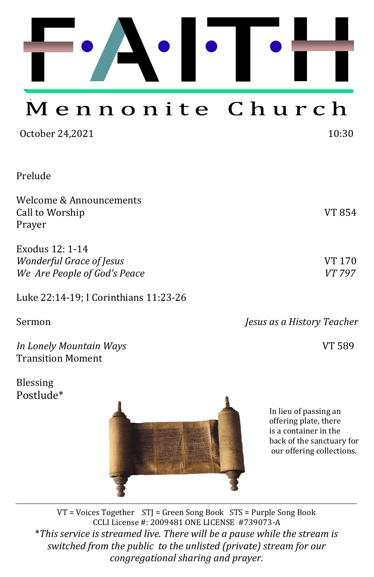

# Mennonite Church

| October 24,2021                                                             | 10:30            |
|-----------------------------------------------------------------------------|------------------|
| Prelude                                                                     |                  |
| Welcome & Announcements<br>Call to Worship<br>Prayer                        | <b>VT 854</b>    |
| Exodus 12: 1-14<br>Wonderful Grace of Jesus<br>We Are People of God's Peace | VT 170<br>VT 797 |

Luke 22:14-19; I Corinthians 11:23-26

| Jesus as a History Teacher |  |
|----------------------------|--|
| VT 589                     |  |
|                            |  |

Blessing Postlude\*



In lieu of passing an offering plate, there is a container in the back of the sanctuary for our offering collections.

VT = Voices Together STJ = Green Song Book STS = Purple Song Book CCLI License #: 2009481 ONE LICENSE #739073-A \**This service is streamed live. There will be a pause while the stream is switched from the public to the unlisted (private) stream for our congregational sharing and prayer.*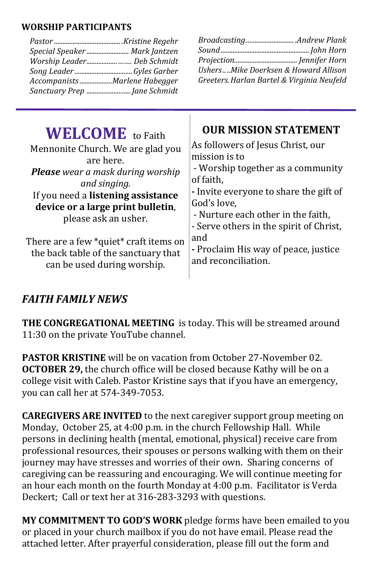#### **WORSHIP PARTICIPANTS**

| <b>OUR MISSION STATEMENT</b><br><b>WELCOME</b> to Faith<br>As followers of Jesus Christ, our<br>Mennonite Church. We are glad you<br>mission is to<br>are here.<br><b>Please</b> wear a mask during worship<br>of faith,<br>and singing.<br>If you need a listening assistance | Special Speaker  Mark Jantzen<br>Worship Leader Deb Schmidt<br>AccompanistsMarlene Habegger<br>Sanctuary Prep  Jane Schmidt | UshersMike Doerksen & Howard Allison<br>Greeters. Harlan Bartel & Virginia Neufeld         |
|--------------------------------------------------------------------------------------------------------------------------------------------------------------------------------------------------------------------------------------------------------------------------------|-----------------------------------------------------------------------------------------------------------------------------|--------------------------------------------------------------------------------------------|
| device or a large print bulletin,<br>- Nurture each other in the faith.                                                                                                                                                                                                        |                                                                                                                             | - Worship together as a community<br>- Invite everyone to share the gift of<br>God's love, |

please ask an usher.

There are a few \*quiet\* craft items on the back table of the sanctuary that can be used during worship.

- Nurture each other in the faith,

- Serve others in the spirit of Christ, and

**-** Proclaim His way of peace, justice and reconciliation.

## *FAITH FAMILY NEWS*

**THE CONGREGATIONAL MEETING** is today. This will be streamed around 11:30 on the private YouTube channel.

**PASTOR KRISTINE** will be on vacation from October 27-November 02. **OCTOBER 29,** the church office will be closed because Kathy will be on a college visit with Caleb. Pastor Kristine says that if you have an emergency, you can call her at 574-349-7053.

**CAREGIVERS ARE INVITED** to the next caregiver support group meeting on Monday, October 25, at 4:00 p.m. in the church Fellowship Hall. While persons in declining health (mental, emotional, physical) receive care from professional resources, their spouses or persons walking with them on their journey may have stresses and worries of their own. Sharing concerns of caregiving can be reassuring and encouraging. We will continue meeting for an hour each month on the fourth Monday at 4:00 p.m. Facilitator is Verda Deckert; Call or text her at 316-283-3293 with questions.

**MY COMMITMENT TO GOD'S WORK** pledge forms have been emailed to you or placed in your church mailbox if you do not have email. Please read the attached letter. After prayerful consideration, please fill out the form and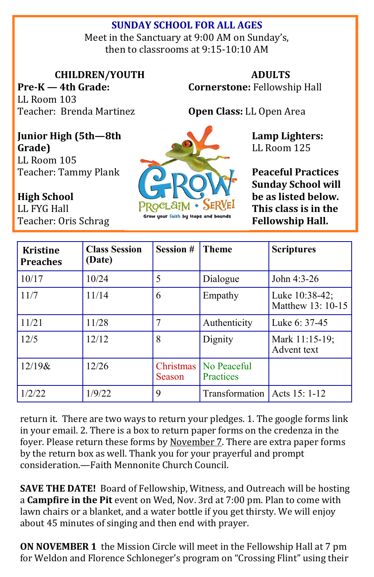### **SUNDAY SCHOOL FOR ALL AGES**

Meet in the Sanctuary at 9:00 AM on Sunday's, then to classrooms at 9:15-10:10 AM

**CHILDREN/YOUTH**

**Pre-K — 4th Grade:**  LL Room 103 Teacher: Brenda Martinez

**ADULTS Cornerstone:** Fellowship Hall

**Open Class:** LL Open Area

**Junior High (5th—8th Grade)** LL Room 105

Teacher: Tammy Plank

**High School**  LL FYG Hall Teacher: Oris Schrag



**Peaceful Practices Sunday School will be as listed below. This class is in the Fellowship Hall.**

**Lamp Lighters:**  LL Room 125

| <b>Kristine</b><br><b>Preaches</b> | <b>Class Session</b><br>(Date) | <b>Session #</b>    | <b>Theme</b>                   | <b>Scriptures</b>                   |
|------------------------------------|--------------------------------|---------------------|--------------------------------|-------------------------------------|
| 10/17                              | 10/24                          | 5                   | Dialogue                       | John 4:3-26                         |
| 11/7                               | 11/14                          | 6                   | Empathy                        | Luke 10:38-42;<br>Matthew 13: 10-15 |
| 11/21                              | 11/28                          |                     | Authenticity                   | Luke 6: 37-45                       |
| 12/5                               | 12/12                          | 8                   | Dignity                        | Mark 11:15-19;<br>Advent text       |
| $12/19$ &                          | 12/26                          | Christmas<br>Season | No Peaceful<br>Practices       |                                     |
| 1/2/22                             | 1/9/22                         | 9                   | Transformation   Acts 15: 1-12 |                                     |

return it. There are two ways to return your pledges. 1. The google forms link in your email. 2. There is a box to return paper forms on the credenza in the foyer. Please return these forms by November 7. There are extra paper forms by the return box as well. Thank you for your prayerful and prompt consideration.—Faith Mennonite Church Council.

**SAVE THE DATE!** Board of Fellowship, Witness, and Outreach will be hosting a **Campfire in the Pit** event on Wed, Nov. 3rd at 7:00 pm. Plan to come with lawn chairs or a blanket, and a water bottle if you get thirsty. We will enjoy about 45 minutes of singing and then end with prayer.

**ON NOVEMBER 1** the Mission Circle will meet in the Fellowship Hall at 7 pm for Weldon and Florence Schloneger's program on "Crossing Flint" using their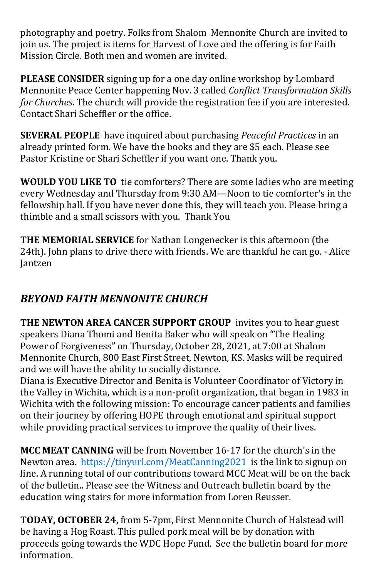photography and poetry. Folks from Shalom Mennonite Church are invited to join us. The project is items for Harvest of Love and the offering is for Faith Mission Circle. Both men and women are invited.

**PLEASE CONSIDER** signing up for a one day online workshop by Lombard Mennonite Peace Center happening Nov. 3 called *Conflict Transformation Skills for Churches*. The church will provide the registration fee if you are interested. Contact Shari Scheffler or the office.

**SEVERAL PEOPLE** have inquired about purchasing *Peaceful Practices* in an already printed form. We have the books and they are \$5 each. Please see Pastor Kristine or Shari Scheffler if you want one. Thank you.

**WOULD YOU LIKE TO** tie comforters? There are some ladies who are meeting every Wednesday and Thursday from 9:30 AM—Noon to tie comforter's in the fellowship hall. If you have never done this, they will teach you. Please bring a thimble and a small scissors with you. Thank You

**THE MEMORIAL SERVICE** for Nathan Longenecker is this afternoon (the 24th). John plans to drive there with friends. We are thankful he can go. - Alice Jantzen

# *BEYOND FAITH MENNONITE CHURCH*

**THE NEWTON AREA CANCER SUPPORT GROUP** invites you to hear guest speakers Diana Thomi and Benita Baker who will speak on "The Healing Power of Forgiveness" on Thursday, October 28, 2021, at 7:00 at Shalom Mennonite Church, 800 East First Street, Newton, KS. Masks will be required and we will have the ability to socially distance.

Diana is Executive Director and Benita is Volunteer Coordinator of Victory in the Valley in Wichita, which is a non-profit organization, that began in 1983 in Wichita with the following mission: To encourage cancer patients and families on their journey by offering HOPE through emotional and spiritual support while providing practical services to improve the quality of their lives.

**MCC MEAT CANNING** will be from November 16-17 for the church's in the Newton area. <https://tinyurl.com/MeatCanning2021>is the link to signup on line. A running total of our contributions toward MCC Meat will be on the back of the bulletin.. Please see the Witness and Outreach bulletin board by the education wing stairs for more information from Loren Reusser.

**TODAY, OCTOBER 24,** from 5-7pm, First Mennonite Church of Halstead will be having a Hog Roast. This pulled pork meal will be by donation with proceeds going towards the WDC Hope Fund. See the bulletin board for more information.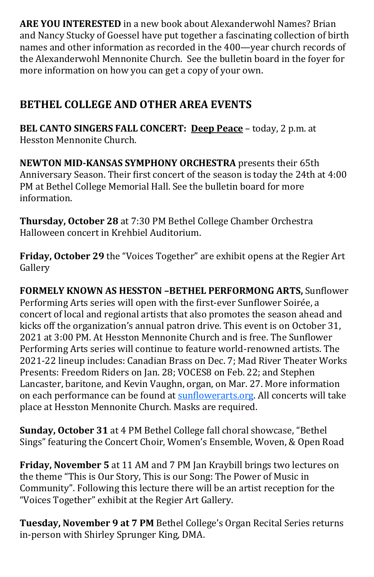**ARE YOU INTERESTED** in a new book about Alexanderwohl Names? Brian and Nancy Stucky of Goessel have put together a fascinating collection of birth names and other information as recorded in the 400—year church records of the Alexanderwohl Mennonite Church. See the bulletin board in the foyer for more information on how you can get a copy of your own.

# **BETHEL COLLEGE AND OTHER AREA EVENTS**

**BEL CANTO SINGERS FALL CONCERT: [Deep Peace](http://click.gotoextinguisher.com/click/ap3h-2gitl3-kxile6-7811x5s3/)** – today, 2 p.m. at Hesston Mennonite Church.

**NEWTON MID-KANSAS SYMPHONY ORCHESTRA** presents their 65th Anniversary Season. Their first concert of the season is today the 24th at 4:00 PM at Bethel College Memorial Hall. See the bulletin board for more information.

**Thursday, October 28** at 7:30 PM Bethel College Chamber Orchestra Halloween concert in Krehbiel Auditorium.

**Friday, October 29** the "Voices Together" are exhibit opens at the Regier Art Gallery

**FORMELY KNOWN AS HESSTON –BETHEL PERFORMONG ARTS,** Sunflower Performing Arts series will open with the first-ever Sunflower Soirée, a concert of local and regional artists that also promotes the season ahead and kicks off the organization's annual patron drive. This event is on October 31, 2021 at 3:00 PM. At Hesston Mennonite Church and is free. The Sunflower Performing Arts series will continue to feature world-renowned artists. The 2021-22 lineup includes: Canadian Brass on Dec. 7; Mad River Theater Works Presents: Freedom Riders on Jan. 28; VOCES8 on Feb. 22; and Stephen Lancaster, baritone, and Kevin Vaughn, organ, on Mar. 27. More information on each performance can be found at [sunflowerarts.org.](https://www.hesston.edu/sunflower-performing-arts/) All concerts will take place at Hesston Mennonite Church. Masks are required.

**Sunday, October 31** at 4 PM Bethel College fall choral showcase, "Bethel Sings" featuring the Concert Choir, Women's Ensemble, Woven, & Open Road

**Friday, November 5** at 11 AM and 7 PM Jan Kraybill brings two lectures on the theme "This is Our Story, This is our Song: The Power of Music in Community". Following this lecture there will be an artist reception for the "Voices Together" exhibit at the Regier Art Gallery.

**Tuesday, November 9 at 7 PM** Bethel College's Organ Recital Series returns in-person with Shirley Sprunger King, DMA.